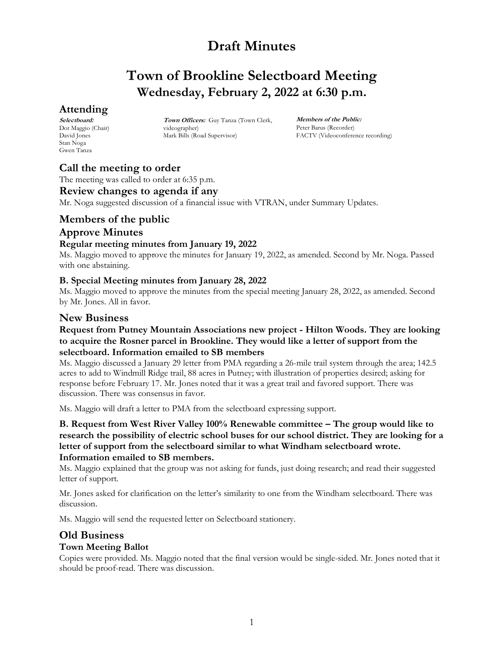# **Town of Brookline Selectboard Meeting Wednesday, February 2, 2022 at 6:30 p.m.**

# **Attending**

**Selectboard:** Dot Maggio (Chair) David Jones Stan Noga Gwen Tanza

**Town Officers:** Guy Tanza (Town Clerk, videographer) Mark Bills (Road Supervisor)

**Members of the Public:** Peter Barus (Recorder) FACTV (Videoconference recording)

# **Call the meeting to order**

The meeting was called to order at 6:35 p.m.

### **Review changes to agenda if any**

Mr. Noga suggested discussion of a financial issue with VTRAN, under Summary Updates.

### **Members of the public**

# **Approve Minutes**

#### **Regular meeting minutes from January 19, 2022**

Ms. Maggio moved to approve the minutes for January 19, 2022, as amended. Second by Mr. Noga. Passed with one abstaining.

#### **B. Special Meeting minutes from January 28, 2022**

Ms. Maggio moved to approve the minutes from the special meeting January 28, 2022, as amended. Second by Mr. Jones. All in favor.

### **New Business**

#### **Request from Putney Mountain Associations new project - Hilton Woods. They are looking to acquire the Rosner parcel in Brookline. They would like a letter of support from the selectboard. Information emailed to SB members**

Ms. Maggio discussed a January 29 letter from PMA regarding a 26-mile trail system through the area; 142.5 acres to add to Windmill Ridge trail, 88 acres in Putney; with illustration of properties desired; asking for response before February 17. Mr. Jones noted that it was a great trail and favored support. There was discussion. There was consensus in favor.

Ms. Maggio will draft a letter to PMA from the selectboard expressing support.

**B. Request from West River Valley 100% Renewable committee – The group would like to research the possibility of electric school buses for our school district. They are looking for a letter of support from the selectboard similar to what Windham selectboard wrote. Information emailed to SB members.**

Ms. Maggio explained that the group was not asking for funds, just doing research; and read their suggested letter of support.

Mr. Jones asked for clarification on the letter's similarity to one from the Windham selectboard. There was discussion.

Ms. Maggio will send the requested letter on Selectboard stationery.

# **Old Business**

### **Town Meeting Ballot**

Copies were provided. Ms. Maggio noted that the final version would be single-sided. Mr. Jones noted that it should be proof-read. There was discussion.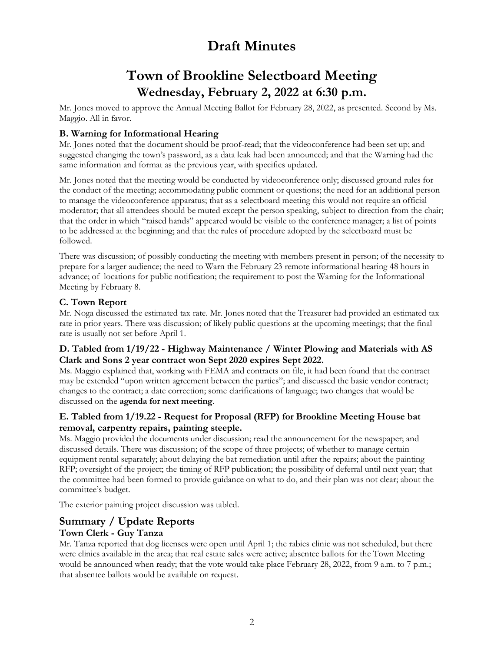# **Town of Brookline Selectboard Meeting Wednesday, February 2, 2022 at 6:30 p.m.**

Mr. Jones moved to approve the Annual Meeting Ballot for February 28, 2022, as presented. Second by Ms. Maggio. All in favor.

### **B. Warning for Informational Hearing**

Mr. Jones noted that the document should be proof-read; that the videoconference had been set up; and suggested changing the town's password, as a data leak had been announced; and that the Warning had the same information and format as the previous year, with specifics updated.

Mr. Jones noted that the meeting would be conducted by videoconference only; discussed ground rules for the conduct of the meeting; accommodating public comment or questions; the need for an additional person to manage the videoconference apparatus; that as a selectboard meeting this would not require an official moderator; that all attendees should be muted except the person speaking, subject to direction from the chair; that the order in which "raised hands" appeared would be visible to the conference manager; a list of points to be addressed at the beginning; and that the rules of procedure adopted by the selectboard must be followed.

There was discussion; of possibly conducting the meeting with members present in person; of the necessity to prepare for a larger audience; the need to Warn the February 23 remote informational hearing 48 hours in advance; of locations for public notification; the requirement to post the Warning for the Informational Meeting by February 8.

### **C. Town Report**

Mr. Noga discussed the estimated tax rate. Mr. Jones noted that the Treasurer had provided an estimated tax rate in prior years. There was discussion; of likely public questions at the upcoming meetings; that the final rate is usually not set before April 1.

### **D. Tabled from 1/19/22 - Highway Maintenance / Winter Plowing and Materials with AS Clark and Sons 2 year contract won Sept 2020 expires Sept 2022.**

Ms. Maggio explained that, working with FEMA and contracts on file, it had been found that the contract may be extended "upon written agreement between the parties"; and discussed the basic vendor contract; changes to the contract; a date correction; some clarifications of language; two changes that would be discussed on the **agenda for next meeting**.

### **E. Tabled from 1/19.22 - Request for Proposal (RFP) for Brookline Meeting House bat removal, carpentry repairs, painting steeple.**

Ms. Maggio provided the documents under discussion; read the announcement for the newspaper; and discussed details. There was discussion; of the scope of three projects; of whether to manage certain equipment rental separately; about delaying the bat remediation until after the repairs; about the painting RFP; oversight of the project; the timing of RFP publication; the possibility of deferral until next year; that the committee had been formed to provide guidance on what to do, and their plan was not clear; about the committee's budget.

The exterior painting project discussion was tabled.

# **Summary / Update Reports**

### **Town Clerk - Guy Tanza**

Mr. Tanza reported that dog licenses were open until April 1; the rabies clinic was not scheduled, but there were clinics available in the area; that real estate sales were active; absentee ballots for the Town Meeting would be announced when ready; that the vote would take place February 28, 2022, from 9 a.m. to 7 p.m.; that absentee ballots would be available on request.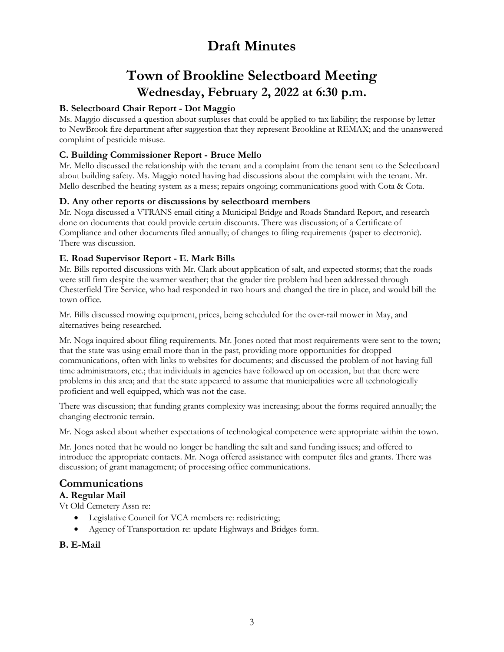# **Town of Brookline Selectboard Meeting Wednesday, February 2, 2022 at 6:30 p.m.**

### **B. Selectboard Chair Report - Dot Maggio**

Ms. Maggio discussed a question about surpluses that could be applied to tax liability; the response by letter to NewBrook fire department after suggestion that they represent Brookline at REMAX; and the unanswered complaint of pesticide misuse.

#### **C. Building Commissioner Report - Bruce Mello**

Mr. Mello discussed the relationship with the tenant and a complaint from the tenant sent to the Selectboard about building safety. Ms. Maggio noted having had discussions about the complaint with the tenant. Mr. Mello described the heating system as a mess; repairs ongoing; communications good with Cota & Cota.

#### **D. Any other reports or discussions by selectboard members**

Mr. Noga discussed a VTRANS email citing a Municipal Bridge and Roads Standard Report, and research done on documents that could provide certain discounts. There was discussion; of a Certificate of Compliance and other documents filed annually; of changes to filing requirements (paper to electronic). There was discussion.

#### **E. Road Supervisor Report - E. Mark Bills**

Mr. Bills reported discussions with Mr. Clark about application of salt, and expected storms; that the roads were still firm despite the warmer weather; that the grader tire problem had been addressed through Chesterfield Tire Service, who had responded in two hours and changed the tire in place, and would bill the town office.

Mr. Bills discussed mowing equipment, prices, being scheduled for the over-rail mower in May, and alternatives being researched.

Mr. Noga inquired about filing requirements. Mr. Jones noted that most requirements were sent to the town; that the state was using email more than in the past, providing more opportunities for dropped communications, often with links to websites for documents; and discussed the problem of not having full time administrators, etc.; that individuals in agencies have followed up on occasion, but that there were problems in this area; and that the state appeared to assume that municipalities were all technologically proficient and well equipped, which was not the case.

There was discussion; that funding grants complexity was increasing; about the forms required annually; the changing electronic terrain.

Mr. Noga asked about whether expectations of technological competence were appropriate within the town.

Mr. Jones noted that he would no longer be handling the salt and sand funding issues; and offered to introduce the appropriate contacts. Mr. Noga offered assistance with computer files and grants. There was discussion; of grant management; of processing office communications.

# **Communications**

#### **A. Regular Mail**

Vt Old Cemetery Assn re:

- Legislative Council for VCA members re: redistricting;
- Agency of Transportation re: update Highways and Bridges form.

#### **B. E-Mail**